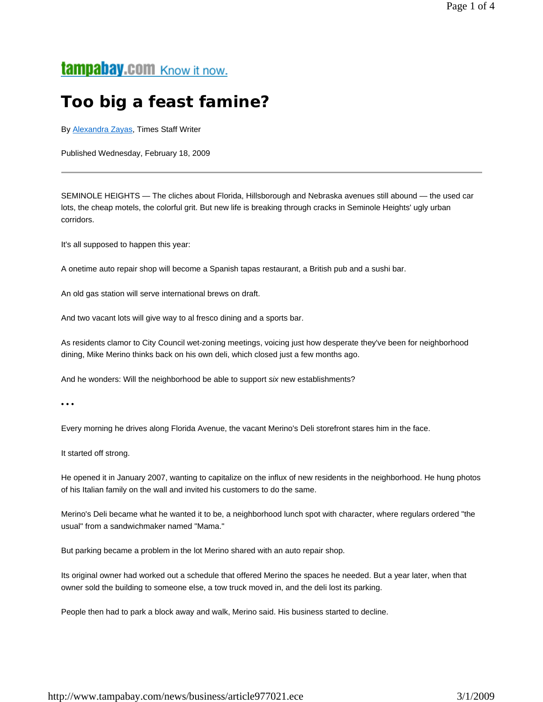## tampabay.com Know it now.

# **Too big a feast famine?**

By **Alexandra Zayas**, Times Staff Writer

Published Wednesday, February 18, 2009

SEMINOLE HEIGHTS — The cliches about Florida, Hillsborough and Nebraska avenues still abound — the used car lots, the cheap motels, the colorful grit. But new life is breaking through cracks in Seminole Heights' ugly urban corridors.

It's all supposed to happen this year:

A onetime auto repair shop will become a Spanish tapas restaurant, a British pub and a sushi bar.

An old gas station will serve international brews on draft.

And two vacant lots will give way to al fresco dining and a sports bar.

As residents clamor to City Council wet-zoning meetings, voicing just how desperate they've been for neighborhood dining, Mike Merino thinks back on his own deli, which closed just a few months ago.

And he wonders: Will the neighborhood be able to support *six* new establishments?

• • •

Every morning he drives along Florida Avenue, the vacant Merino's Deli storefront stares him in the face.

It started off strong.

He opened it in January 2007, wanting to capitalize on the influx of new residents in the neighborhood. He hung photos of his Italian family on the wall and invited his customers to do the same.

Merino's Deli became what he wanted it to be, a neighborhood lunch spot with character, where regulars ordered "the usual" from a sandwichmaker named "Mama."

But parking became a problem in the lot Merino shared with an auto repair shop.

Its original owner had worked out a schedule that offered Merino the spaces he needed. But a year later, when that owner sold the building to someone else, a tow truck moved in, and the deli lost its parking.

People then had to park a block away and walk, Merino said. His business started to decline.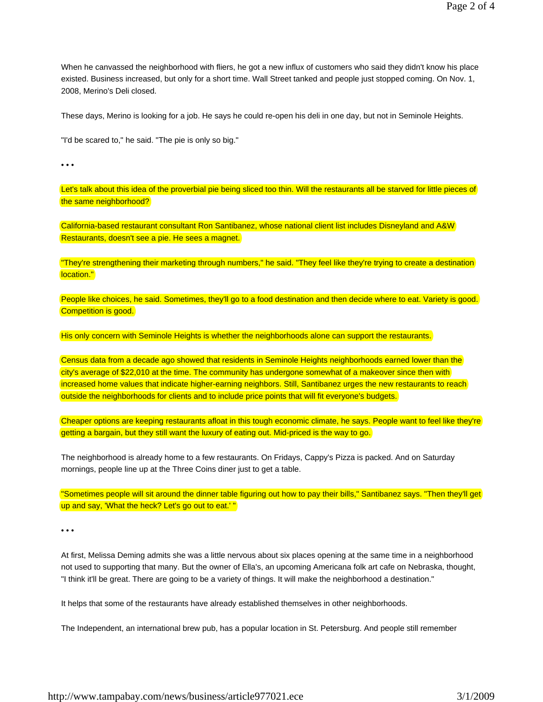When he canvassed the neighborhood with fliers, he got a new influx of customers who said they didn't know his place existed. Business increased, but only for a short time. Wall Street tanked and people just stopped coming. On Nov. 1, 2008, Merino's Deli closed.

These days, Merino is looking for a job. He says he could re-open his deli in one day, but not in Seminole Heights.

"I'd be scared to," he said. "The pie is only so big."

• • •

Let's talk about this idea of the proverbial pie being sliced too thin. Will the restaurants all be starved for little pieces of the same neighborhood?

California-based restaurant consultant Ron Santibanez, whose national client list includes Disneyland and A&W Restaurants, doesn't see a pie. He sees a magnet.

"They're strengthening their marketing through numbers," he said. "They feel like they're trying to create a destination location."

People like choices, he said. Sometimes, they'll go to a food destination and then decide where to eat. Variety is good. Competition is good.

His only concern with Seminole Heights is whether the neighborhoods alone can support the restaurants.

Census data from a decade ago showed that residents in Seminole Heights neighborhoods earned lower than the city's average of \$22,010 at the time. The community has undergone somewhat of a makeover since then with increased home values that indicate higher-earning neighbors. Still, Santibanez urges the new restaurants to reach outside the neighborhoods for clients and to include price points that will fit everyone's budgets.

Cheaper options are keeping restaurants afloat in this tough economic climate, he says. People want to feel like they're getting a bargain, but they still want the luxury of eating out. Mid-priced is the way to go.

The neighborhood is already home to a few restaurants. On Fridays, Cappy's Pizza is packed. And on Saturday mornings, people line up at the Three Coins diner just to get a table.

"Sometimes people will sit around the dinner table figuring out how to pay their bills," Santibanez says. "Then they'll get up and say, 'What the heck? Let's go out to eat.' "

• • •

At first, Melissa Deming admits she was a little nervous about six places opening at the same time in a neighborhood not used to supporting that many. But the owner of Ella's, an upcoming Americana folk art cafe on Nebraska, thought, "I think it'll be great. There are going to be a variety of things. It will make the neighborhood a destination."

It helps that some of the restaurants have already established themselves in other neighborhoods.

The Independent, an international brew pub, has a popular location in St. Petersburg. And people still remember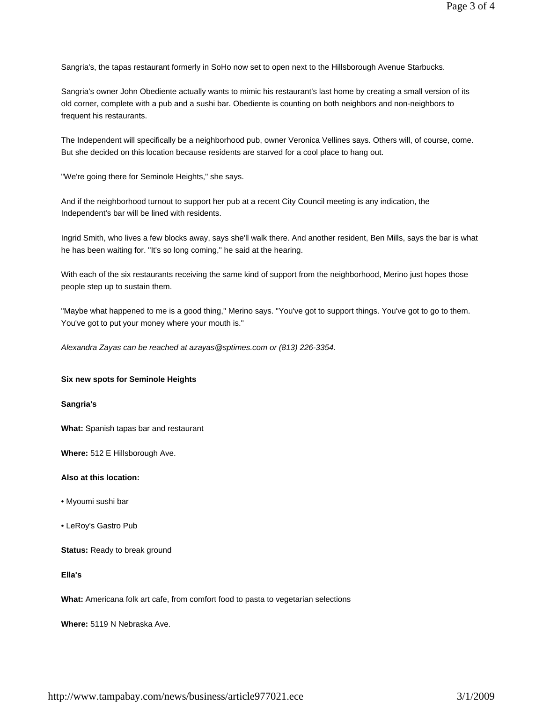Sangria's, the tapas restaurant formerly in SoHo now set to open next to the Hillsborough Avenue Starbucks.

Sangria's owner John Obediente actually wants to mimic his restaurant's last home by creating a small version of its old corner, complete with a pub and a sushi bar. Obediente is counting on both neighbors and non-neighbors to frequent his restaurants.

The Independent will specifically be a neighborhood pub, owner Veronica Vellines says. Others will, of course, come. But she decided on this location because residents are starved for a cool place to hang out.

"We're going there for Seminole Heights," she says.

And if the neighborhood turnout to support her pub at a recent City Council meeting is any indication, the Independent's bar will be lined with residents.

Ingrid Smith, who lives a few blocks away, says she'll walk there. And another resident, Ben Mills, says the bar is what he has been waiting for. "It's so long coming," he said at the hearing.

With each of the six restaurants receiving the same kind of support from the neighborhood, Merino just hopes those people step up to sustain them.

"Maybe what happened to me is a good thing," Merino says. "You've got to support things. You've got to go to them. You've got to put your money where your mouth is."

*Alexandra Zayas can be reached at azayas@sptimes.com or (813) 226-3354.*

### **Six new spots for Seminole Heights**

#### **Sangria's**

**What:** Spanish tapas bar and restaurant

**Where:** 512 E Hillsborough Ave.

#### **Also at this location:**

- Myoumi sushi bar
- LeRoy's Gastro Pub

**Status:** Ready to break ground

**Ella's**

**What:** Americana folk art cafe, from comfort food to pasta to vegetarian selections

**Where:** 5119 N Nebraska Ave.